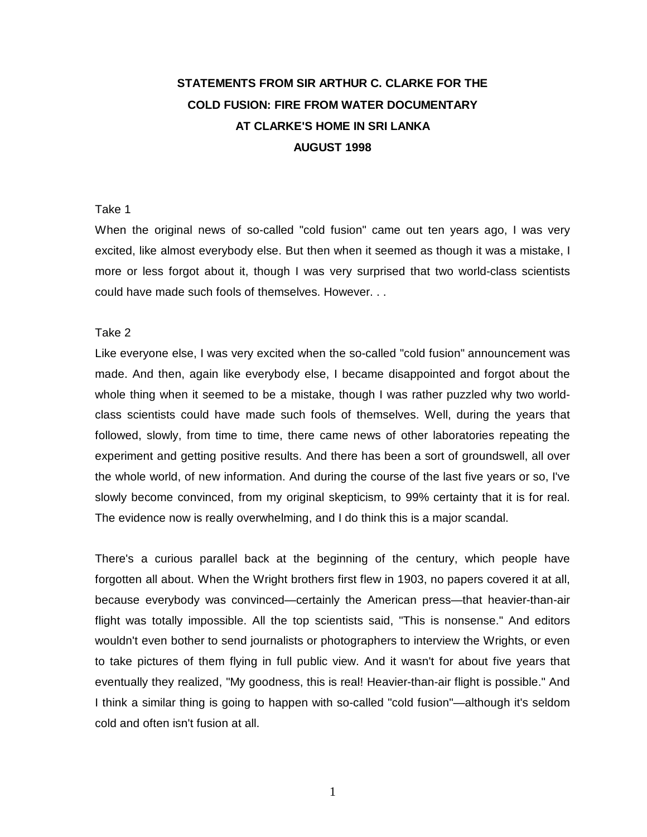# **STATEMENTS FROM SIR ARTHUR C. CLARKE FOR THE COLD FUSION: FIRE FROM WATER DOCUMENTARY AT CLARKE'S HOME IN SRI LANKA AUGUST 1998**

#### Take 1

When the original news of so-called "cold fusion" came out ten years ago, I was very excited, like almost everybody else. But then when it seemed as though it was a mistake, I more or less forgot about it, though I was very surprised that two world-class scientists could have made such fools of themselves. However. . .

#### Take 2

Like everyone else, I was very excited when the so-called "cold fusion" announcement was made. And then, again like everybody else, I became disappointed and forgot about the whole thing when it seemed to be a mistake, though I was rather puzzled why two worldclass scientists could have made such fools of themselves. Well, during the years that followed, slowly, from time to time, there came news of other laboratories repeating the experiment and getting positive results. And there has been a sort of groundswell, all over the whole world, of new information. And during the course of the last five years or so, I've slowly become convinced, from my original skepticism, to 99% certainty that it is for real. The evidence now is really overwhelming, and I do think this is a major scandal.

There's a curious parallel back at the beginning of the century, which people have forgotten all about. When the Wright brothers first flew in 1903, no papers covered it at all, because everybody was convinced—certainly the American press—that heavier-than-air flight was totally impossible. All the top scientists said, "This is nonsense." And editors wouldn't even bother to send journalists or photographers to interview the Wrights, or even to take pictures of them flying in full public view. And it wasn't for about five years that eventually they realized, "My goodness, this is real! Heavier-than-air flight is possible." And I think a similar thing is going to happen with so-called "cold fusion"—although it's seldom cold and often isn't fusion at all.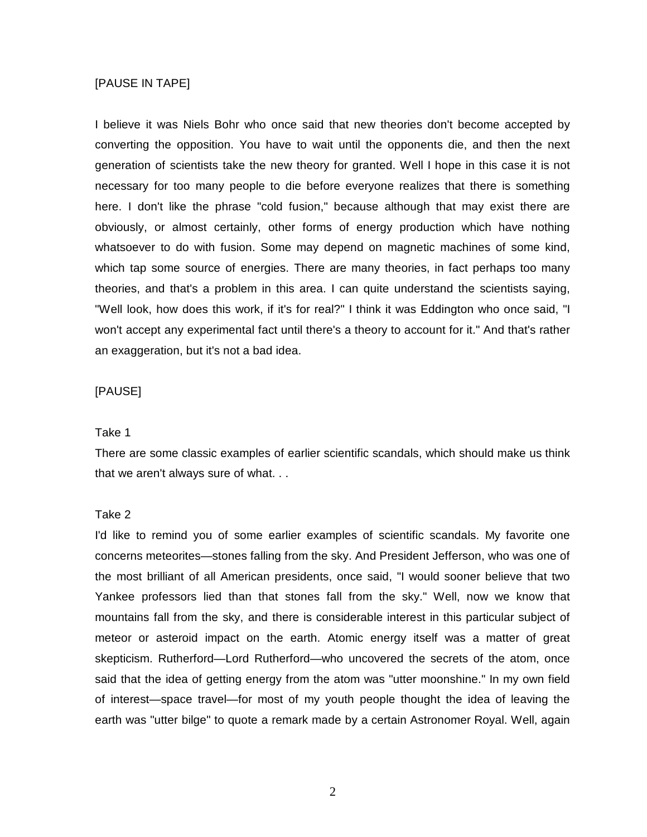# [PAUSE IN TAPE]

I believe it was Niels Bohr who once said that new theories don't become accepted by converting the opposition. You have to wait until the opponents die, and then the next generation of scientists take the new theory for granted. Well I hope in this case it is not necessary for too many people to die before everyone realizes that there is something here. I don't like the phrase "cold fusion," because although that may exist there are obviously, or almost certainly, other forms of energy production which have nothing whatsoever to do with fusion. Some may depend on magnetic machines of some kind, which tap some source of energies. There are many theories, in fact perhaps too many theories, and that's a problem in this area. I can quite understand the scientists saying, "Well look, how does this work, if it's for real?" I think it was Eddington who once said, "I won't accept any experimental fact until there's a theory to account for it." And that's rather an exaggeration, but it's not a bad idea.

# [PAUSE]

#### Take 1

There are some classic examples of earlier scientific scandals, which should make us think that we aren't always sure of what. . .

#### Take 2

I'd like to remind you of some earlier examples of scientific scandals. My favorite one concerns meteorites—stones falling from the sky. And President Jefferson, who was one of the most brilliant of all American presidents, once said, "I would sooner believe that two Yankee professors lied than that stones fall from the sky." Well, now we know that mountains fall from the sky, and there is considerable interest in this particular subject of meteor or asteroid impact on the earth. Atomic energy itself was a matter of great skepticism. Rutherford—Lord Rutherford—who uncovered the secrets of the atom, once said that the idea of getting energy from the atom was "utter moonshine." In my own field of interest—space travel—for most of my youth people thought the idea of leaving the earth was "utter bilge" to quote a remark made by a certain Astronomer Royal. Well, again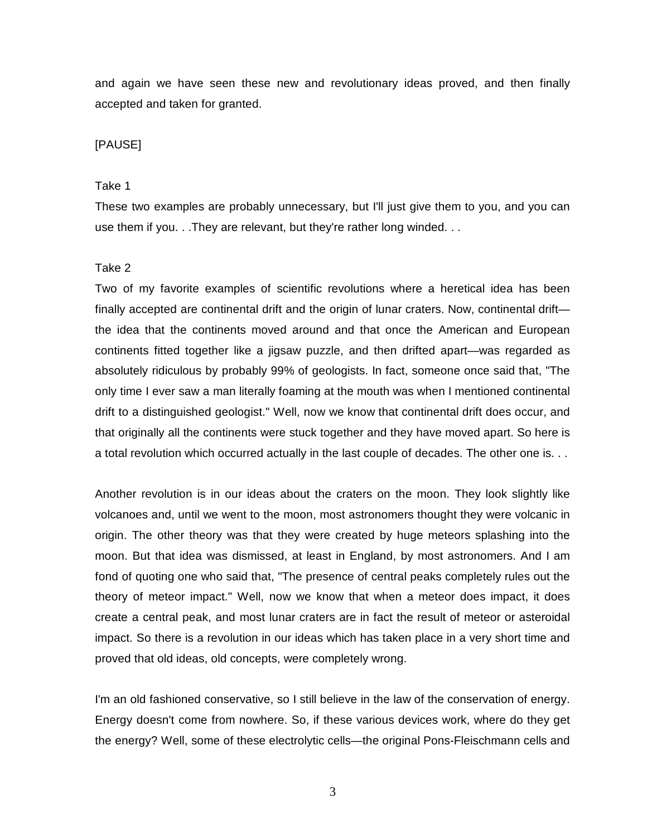and again we have seen these new and revolutionary ideas proved, and then finally accepted and taken for granted.

# [PAUSE]

# Take 1

These two examples are probably unnecessary, but I'll just give them to you, and you can use them if you. . .They are relevant, but they're rather long winded. . .

#### Take 2

Two of my favorite examples of scientific revolutions where a heretical idea has been finally accepted are continental drift and the origin of lunar craters. Now, continental drift the idea that the continents moved around and that once the American and European continents fitted together like a jigsaw puzzle, and then drifted apart—was regarded as absolutely ridiculous by probably 99% of geologists. In fact, someone once said that, "The only time I ever saw a man literally foaming at the mouth was when I mentioned continental drift to a distinguished geologist." Well, now we know that continental drift does occur, and that originally all the continents were stuck together and they have moved apart. So here is a total revolution which occurred actually in the last couple of decades. The other one is. . .

Another revolution is in our ideas about the craters on the moon. They look slightly like volcanoes and, until we went to the moon, most astronomers thought they were volcanic in origin. The other theory was that they were created by huge meteors splashing into the moon. But that idea was dismissed, at least in England, by most astronomers. And I am fond of quoting one who said that, "The presence of central peaks completely rules out the theory of meteor impact." Well, now we know that when a meteor does impact, it does create a central peak, and most lunar craters are in fact the result of meteor or asteroidal impact. So there is a revolution in our ideas which has taken place in a very short time and proved that old ideas, old concepts, were completely wrong.

I'm an old fashioned conservative, so I still believe in the law of the conservation of energy. Energy doesn't come from nowhere. So, if these various devices work, where do they get the energy? Well, some of these electrolytic cells—the original Pons-Fleischmann cells and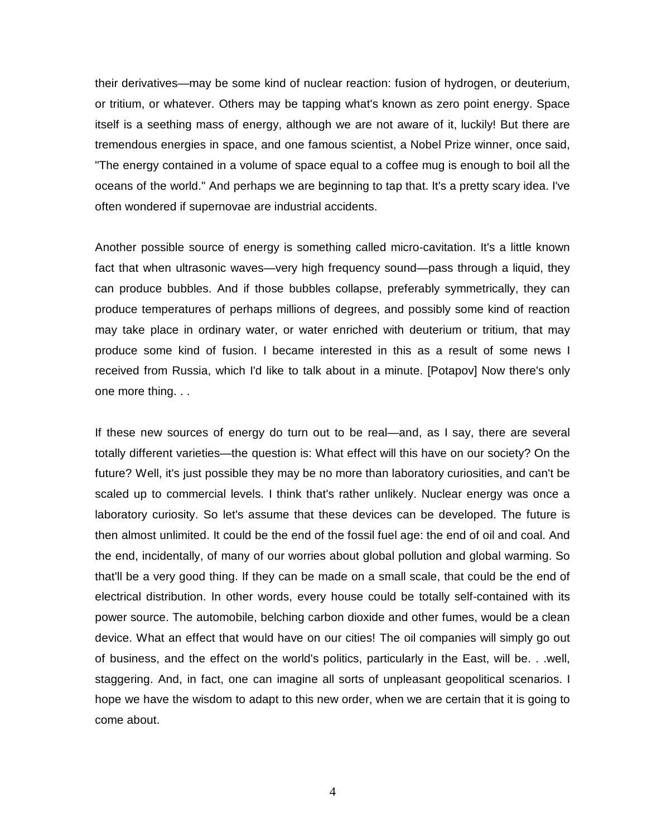their derivatives—may be some kind of nuclear reaction: fusion of hydrogen, or deuterium, or tritium, or whatever. Others may be tapping what's known as zero point energy. Space itself is a seething mass of energy, although we are not aware of it, luckily! But there are tremendous energies in space, and one famous scientist, a Nobel Prize winner, once said, "The energy contained in a volume of space equal to a coffee mug is enough to boil all the oceans of the world." And perhaps we are beginning to tap that. It's a pretty scary idea. I've often wondered if supernovae are industrial accidents.

Another possible source of energy is something called micro-cavitation. It's a little known fact that when ultrasonic waves—very high frequency sound—pass through a liquid, they can produce bubbles. And if those bubbles collapse, preferably symmetrically, they can produce temperatures of perhaps millions of degrees, and possibly some kind of reaction may take place in ordinary water, or water enriched with deuterium or tritium, that may produce some kind of fusion. I became interested in this as a result of some news I received from Russia, which I'd like to talk about in a minute. [Potapov] Now there's only one more thing. . .

If these new sources of energy do turn out to be real—and, as I say, there are several totally different varieties—the question is: What effect will this have on our society? On the future? Well, it's just possible they may be no more than laboratory curiosities, and can't be scaled up to commercial levels. I think that's rather unlikely. Nuclear energy was once a laboratory curiosity. So let's assume that these devices can be developed. The future is then almost unlimited. It could be the end of the fossil fuel age: the end of oil and coal. And the end, incidentally, of many of our worries about global pollution and global warming. So that'll be a very good thing. If they can be made on a small scale, that could be the end of electrical distribution. In other words, every house could be totally self-contained with its power source. The automobile, belching carbon dioxide and other fumes, would be a clean device. What an effect that would have on our cities! The oil companies will simply go out of business, and the effect on the world's politics, particularly in the East, will be. . .well, staggering. And, in fact, one can imagine all sorts of unpleasant geopolitical scenarios. I hope we have the wisdom to adapt to this new order, when we are certain that it is going to come about.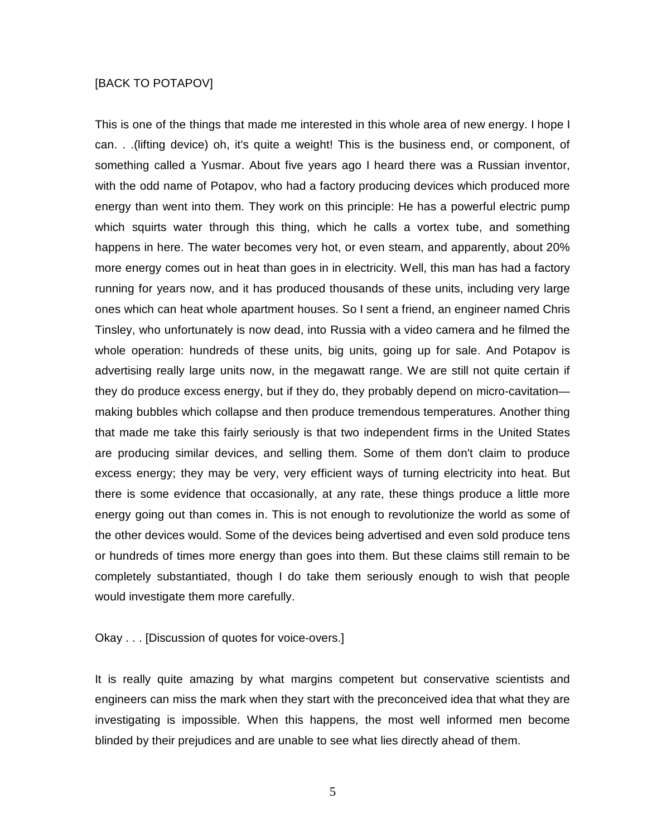# [BACK TO POTAPOV]

This is one of the things that made me interested in this whole area of new energy. I hope I can. . .(lifting device) oh, it's quite a weight! This is the business end, or component, of something called a Yusmar. About five years ago I heard there was a Russian inventor, with the odd name of Potapov, who had a factory producing devices which produced more energy than went into them. They work on this principle: He has a powerful electric pump which squirts water through this thing, which he calls a vortex tube, and something happens in here. The water becomes very hot, or even steam, and apparently, about 20% more energy comes out in heat than goes in in electricity. Well, this man has had a factory running for years now, and it has produced thousands of these units, including very large ones which can heat whole apartment houses. So I sent a friend, an engineer named Chris Tinsley, who unfortunately is now dead, into Russia with a video camera and he filmed the whole operation: hundreds of these units, big units, going up for sale. And Potapov is advertising really large units now, in the megawatt range. We are still not quite certain if they do produce excess energy, but if they do, they probably depend on micro-cavitation making bubbles which collapse and then produce tremendous temperatures. Another thing that made me take this fairly seriously is that two independent firms in the United States are producing similar devices, and selling them. Some of them don't claim to produce excess energy; they may be very, very efficient ways of turning electricity into heat. But there is some evidence that occasionally, at any rate, these things produce a little more energy going out than comes in. This is not enough to revolutionize the world as some of the other devices would. Some of the devices being advertised and even sold produce tens or hundreds of times more energy than goes into them. But these claims still remain to be completely substantiated, though I do take them seriously enough to wish that people would investigate them more carefully.

# Okay . . . [Discussion of quotes for voice-overs.]

It is really quite amazing by what margins competent but conservative scientists and engineers can miss the mark when they start with the preconceived idea that what they are investigating is impossible. When this happens, the most well informed men become blinded by their prejudices and are unable to see what lies directly ahead of them.